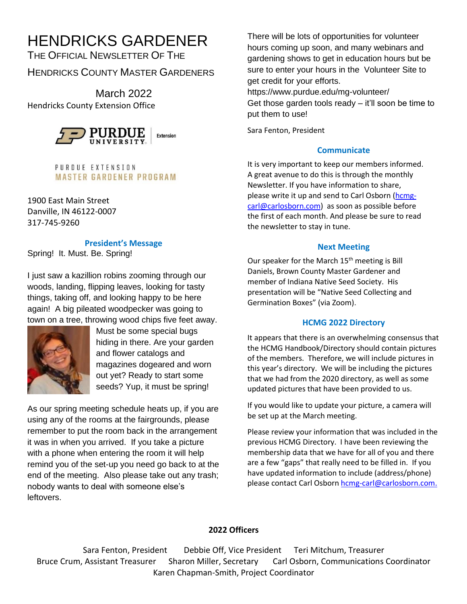# HENDRICKS GARDENER

THE OFFICIAL NEWSLETTER OF THE HENDRICKS COUNTY MASTER GARDENERS

March 2022 Hendricks County Extension Office



PURDUE EXTENSION **MASTER GARDENER PROGRAM** 

1900 East Main Street Danville, IN 46122-0007 317-745-9260

#### **President's Message**

Spring! It. Must. Be. Spring!

I just saw a kazillion robins zooming through our woods, landing, flipping leaves, looking for tasty things, taking off, and looking happy to be here again! A big pileated woodpecker was going to town on a tree, throwing wood chips five feet away.



Must be some special bugs hiding in there. Are your garden and flower catalogs and magazines dogeared and worn out yet? Ready to start some seeds? Yup, it must be spring!

As our spring meeting schedule heats up, if you are using any of the rooms at the fairgrounds, please remember to put the room back in the arrangement it was in when you arrived. If you take a picture with a phone when entering the room it will help remind you of the set-up you need go back to at the end of the meeting. Also please take out any trash; nobody wants to deal with someone else's leftovers.

There will be lots of opportunities for volunteer hours coming up soon, and many webinars and gardening shows to get in education hours but be sure to enter your hours in the Volunteer Site to get credit for your efforts.

https://www.purdue.edu/mg-volunteer/ Get those garden tools ready – it'll soon be time to put them to use!

Sara Fenton, President

## **Communicate**

It is very important to keep our members informed. A great avenue to do this is through the monthly Newsletter. If you have information to share, please write it up and send to Carl Osborn [\(hcmg](mailto:hcmg-carl@carlosborn.com)[carl@carlosborn.com\)](mailto:hcmg-carl@carlosborn.com) as soon as possible before the first of each month. And please be sure to read the newsletter to stay in tune.

### **Next Meeting**

Our speaker for the March 15<sup>th</sup> meeting is Bill Daniels, Brown County Master Gardener and member of Indiana Native Seed Society. His presentation will be "Native Seed Collecting and Germination Boxes" (via Zoom).

## **HCMG 2022 Directory**

It appears that there is an overwhelming consensus that the HCMG Handbook/Directory should contain pictures of the members. Therefore, we will include pictures in this year's directory. We will be including the pictures that we had from the 2020 directory, as well as some updated pictures that have been provided to us.

If you would like to update your picture, a camera will be set up at the March meeting.

Please review your information that was included in the previous HCMG Directory. I have been reviewing the membership data that we have for all of you and there are a few "gaps" that really need to be filled in. If you have updated information to include (address/phone) please contact Carl Osborn [hcmg-carl@carlosborn.com.](mailto:hcmg-carl@carlosborn.com)

# **2022 Officers**

Sara Fenton, President Debbie Off, Vice President Teri Mitchum, Treasurer Bruce Crum, Assistant Treasurer Sharon Miller, Secretary Carl Osborn, Communications Coordinator Karen Chapman-Smith, Project Coordinator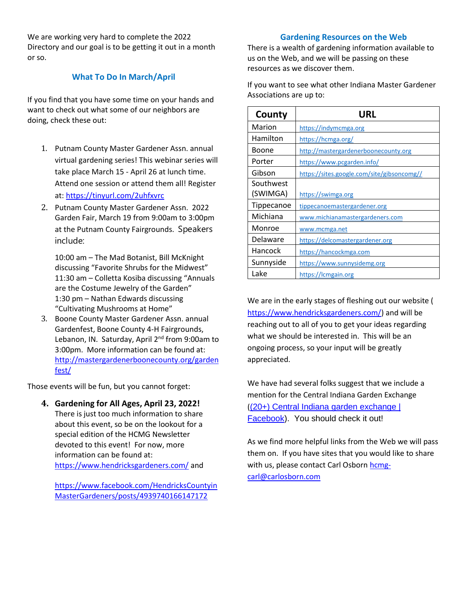We are working very hard to complete the 2022 Directory and our goal is to be getting it out in a month or so.

#### **What To Do In March/April**

If you find that you have some time on your hands and want to check out what some of our neighbors are doing, check these out:

- 1. Putnam County Master Gardener Assn. annual virtual gardening series! This webinar series will take place March 15 - April 26 at lunch time. Attend one session or attend them all! Register at: [https://tinyurl.com/2uhfxvrc](https://l.facebook.com/l.php?u=https%3A%2F%2Ftinyurl.com%2F2uhfxvrc%3Ffbclid%3DIwAR2jM399lfGaySOirlzab9qrA6BN_G4KOiZD0iP4UUilteklH5Lgg_tZxsM&h=AT12CF6YVb_lZ-istR5hs_2GKXQNZf-O_4s1KHJrR0P_gdY3p9XDygaSIBc6CwE9bA8yWaejO-WbwNj2iyyKseHsxbGo9wxJRVovy7qWO9xJy0CwJfMdI9Gwc4uMyuvk4A&__tn__=-UK-R&c%5b0%5d=AT3y9tqDRcc48jUvegyZdmYZwxx_iKyA26uty5dtfppBRUzUJtO41D3DRJJ3SSN9F9KNFnK_EsAno0VKIEjPim-cVHzGRKkeqboscZLFt8F5zxHZrVdxpOHsRDbnSssxUhyNnIjTxGlPHVsAR8P-OGjH6Rqtk9yKCo8mwtG0J8NcU6U)
- 2. Putnam County Master Gardener Assn. 2022 Garden Fair, March 19 from 9:00am to 3:00pm at the Putnam County Fairgrounds. Speakers include:

10:00 am – The Mad Botanist, Bill McKnight discussing "Favorite Shrubs for the Midwest" 11:30 am – Colletta Kosiba discussing "Annuals are the Costume Jewelry of the Garden" 1:30 pm – Nathan Edwards discussing "Cultivating Mushrooms at Home"

3. Boone County Master Gardener Assn. annual Gardenfest, Boone County 4-H Fairgrounds, Lebanon, IN. Saturday, April 2<sup>nd</sup> from 9:00am to 3:00pm. More information can be found at: [http://mastergardenerboonecounty.org/garden](http://mastergardenerboonecounty.org/gardenfest/) [fest/](http://mastergardenerboonecounty.org/gardenfest/) 

Those events will be fun, but you cannot forget:

**4. Gardening for All Ages, April 23, 2022!** There is just too much information to share about this event, so be on the lookout for a special edition of the HCMG Newsletter devoted to this event! For now, more information can be found at: <https://www.hendricksgardeners.com/> and

[https://www.facebook.com/HendricksCountyin](https://www.facebook.com/HendricksCountyinMasterGardeners/posts/4939740166147172) [MasterGardeners/posts/4939740166147172](https://www.facebook.com/HendricksCountyinMasterGardeners/posts/4939740166147172)

#### **Gardening Resources on the Web**

There is a wealth of gardening information available to us on the Web, and we will be passing on these resources as we discover them.

If you want to see what other Indiana Master Gardener Associations are up to:

| County     | URL                                        |
|------------|--------------------------------------------|
| Marion     | https://indymcmga.org                      |
| Hamilton   | https://hcmga.org/                         |
| Boone      | http://mastergardenerboonecounty.org       |
| Porter     | https://www.pcgarden.info/                 |
| Gibson     | https://sites.google.com/site/gibsoncomg// |
| Southwest  |                                            |
| (SWIMGA)   | https://swimga.org                         |
| Tippecanoe | tippecanoemastergardener.org               |
| Michiana   | www.michianamastergardeners.com            |
| Monroe     | www.mcmga.net                              |
| Delaware   | https://delcomastergardener.org            |
| Hancock    | https://hancockmga.com                     |
| Sunnyside  | https://www.sunnysidemg.org                |
| Lake       | https://lcmgain.org                        |

We are in the early stages of fleshing out our website ( [https://www.hendricksgardeners.com/\)](https://www.hendricksgardeners.com/) and will be reaching out to all of you to get your ideas regarding what we should be interested in. This will be an ongoing process, so your input will be greatly appreciated.

We have had several folks suggest that we include a mention for the Central Indiana Garden Exchange ([\(20+\) Central Indiana garden exchange |](https://www.facebook.com/groups/155565314515490)  [Facebook\)](https://www.facebook.com/groups/155565314515490). You should check it out!

As we find more helpful links from the Web we will pass them on. If you have sites that you would like to share with us, please contact Carl Osbor[n hcmg](mailto:hcmg-carl@carlosborn.com)[carl@carlosborn.com](mailto:hcmg-carl@carlosborn.com)